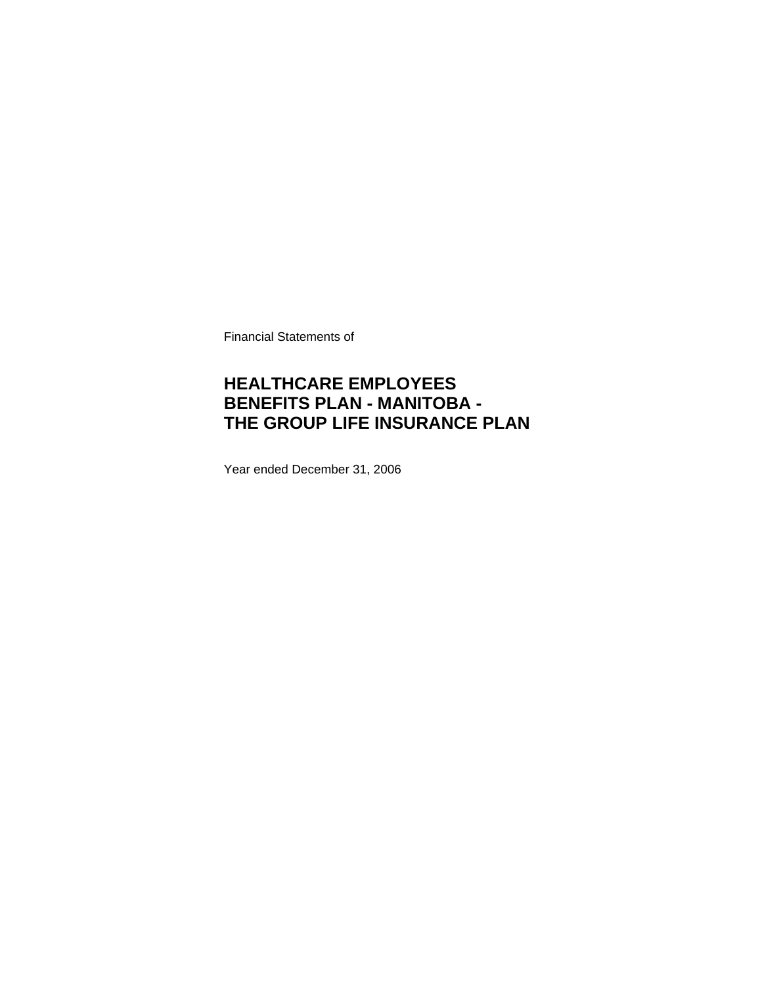Financial Statements of

### **HEALTHCARE EMPLOYEES BENEFITS PLAN - MANITOBA - THE GROUP LIFE INSURANCE PLAN**

Year ended December 31, 2006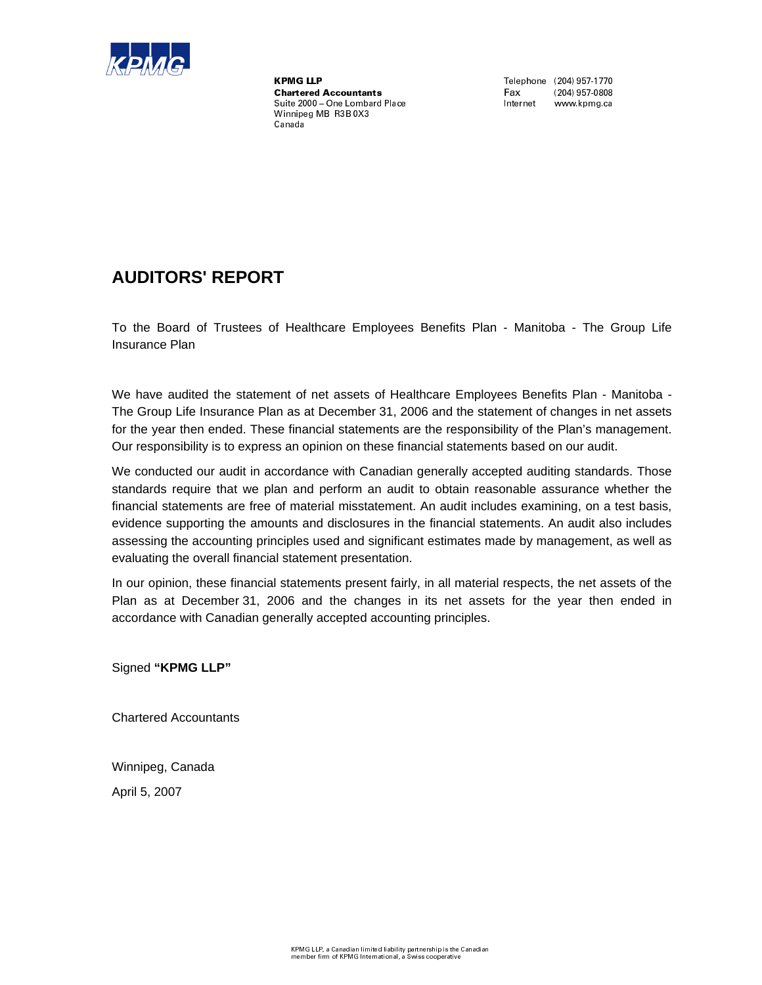

,.-0/2143'3'- 5687 689':\*;<=6?> @=A B'C=D\*E F=G HF=F\*AIJKLM-NL N'O2P#Q'Q'RTSU'M-KU'M-VSuite 2000 - One Lombard Place Winnipeg MB R3B 0X3  $\sim$  for  $\sim$  for  $\sim$ 

Fax **B**  $(204)$  957-0808 Internet www.kpmg.ca

### **AUDITORS' REPORT**

To the Board of Trustees of Healthcare Employees Benefits Plan - Manitoba - The Group Life Insurance Plan

We have audited the statement of net assets of Healthcare Employees Benefits Plan - Manitoba - The Group Life Insurance Plan as at December 31, 2006 and the statement of changes in net assets for the year then ended. These financial statements are the responsibility of the Plan's management. Our responsibility is to express an opinion on these financial statements based on our audit.

We conducted our audit in accordance with Canadian generally accepted auditing standards. Those standards require that we plan and perform an audit to obtain reasonable assurance whether the financial statements are free of material misstatement. An audit includes examining, on a test basis, evidence supporting the amounts and disclosures in the financial statements. An audit also includes assessing the accounting principles used and significant estimates made by management, as well as evaluating the overall financial statement presentation.

In our opinion, these financial statements present fairly, in all material respects, the net assets of the Plan as at December 31, 2006 and the changes in its net assets for the year then ended in accordance with Canadian generally accepted accounting principles.

Signed **"KPMG LLP"**

Chartered Accountants

Winnipeg, Canada

April 5, 2007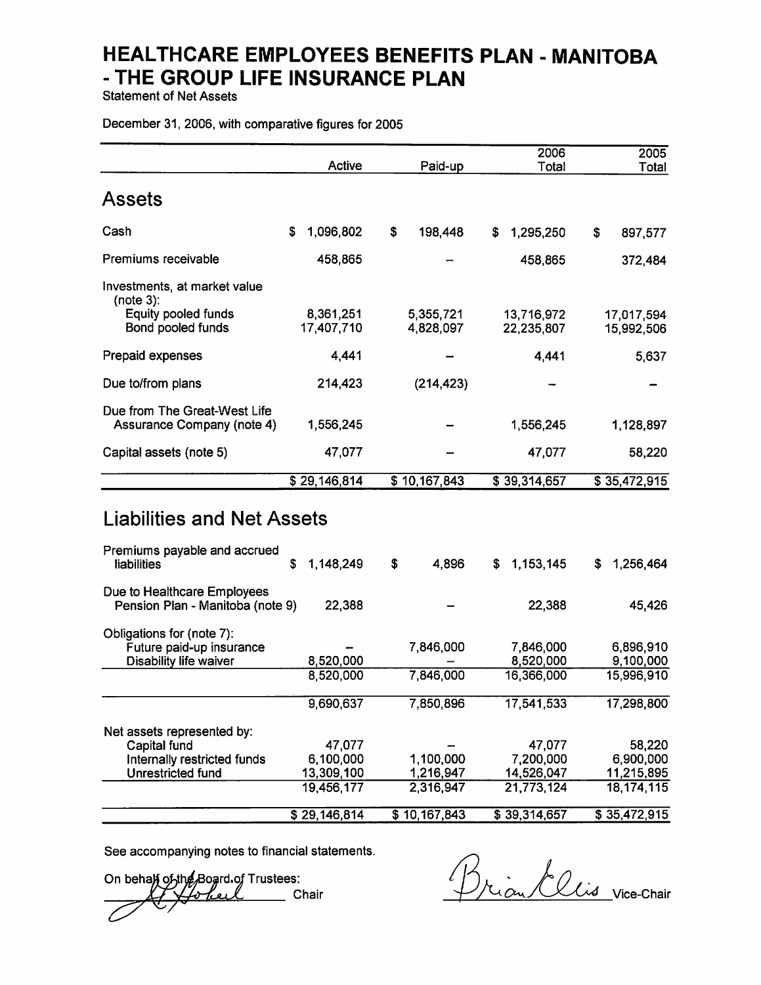**Statement of Net Assets** 

December 31, 2006, with comparative figures for 2005

|                                                                                                | Active                                          | Paid-up                             | 2006<br>Total                                   | 2005<br>Total                                   |
|------------------------------------------------------------------------------------------------|-------------------------------------------------|-------------------------------------|-------------------------------------------------|-------------------------------------------------|
| <b>Assets</b>                                                                                  |                                                 |                                     |                                                 |                                                 |
| Cash                                                                                           | 1,096,802<br>\$                                 | \$<br>198,448                       | \$<br>1,295,250                                 | \$<br>897,577                                   |
| Premiums receivable                                                                            | 458,865                                         |                                     | 458,865                                         | 372,484                                         |
| Investments, at market value<br>(note 3):<br>Equity pooled funds<br>Bond pooled funds          | 8,361,251<br>17,407,710                         | 5,355,721<br>4,828,097              | 13,716,972<br>22,235,807                        | 17,017,594<br>15,992,506                        |
| Prepaid expenses                                                                               | 4,441                                           |                                     | 4,441                                           | 5,637                                           |
| Due to/from plans                                                                              | 214,423                                         | (214, 423)                          |                                                 |                                                 |
| Due from The Great-West Life<br>Assurance Company (note 4)                                     | 1,556,245                                       |                                     | 1,556,245                                       | 1,128,897                                       |
| Capital assets (note 5)                                                                        | 47,077                                          |                                     | 47,077                                          | 58,220                                          |
|                                                                                                | \$29,146,814                                    | \$10,167,843                        | \$39,314,657                                    | \$35,472,915                                    |
| <b>Liabilities and Net Assets</b><br>Premiums payable and accrued<br>liabilities               | \$<br>1,148,249                                 | \$<br>4,896                         | 1,153,145<br>\$                                 | 1,256,464<br>\$                                 |
| Due to Healthcare Employees<br>Pension Plan - Manitoba (note 9)                                | 22,388                                          |                                     | 22,388                                          | 45,426                                          |
| Obligations for (note 7):<br>Future paid-up insurance<br>Disability life waiver                | 8,520,000<br>8,520,000                          | 7,846,000<br>7,846,000              | 7,846,000<br>8,520,000<br>16,366,000            | 6,896,910<br>9,100,000<br>15,996,910            |
|                                                                                                | 9,690,637                                       | 7,850,896                           | 17,541,533                                      | 17,298,800                                      |
| Net assets represented by:<br>Capital fund<br>Internally restricted funds<br>Unrestricted fund | 47,077<br>6,100,000<br>13,309,100<br>19,456,177 | 1,100,000<br>1,216,947<br>2,316,947 | 47,077<br>7,200,000<br>14,526,047<br>21,773,124 | 58,220<br>6,900,000<br>11,215,895<br>18,174,115 |
|                                                                                                | \$29,146,814                                    | \$10,167,843                        | \$39,314,657                                    | \$35,472,915                                    |

See accompanying notes to financial statements.

On behalf of the Board of Trustees:<br>A forbell Chair

Brian Clis vice-Chair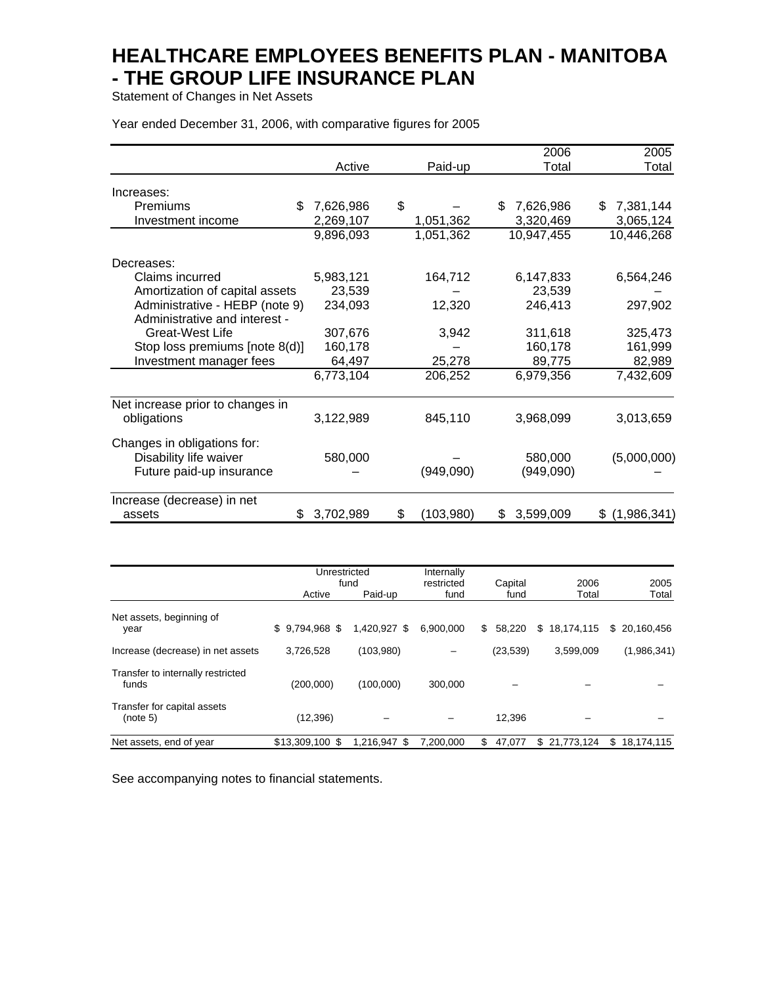Statement of Changes in Net Assets

Year ended December 31, 2006, with comparative figures for 2005

|                                  |             |                 | 2006             | 2005            |
|----------------------------------|-------------|-----------------|------------------|-----------------|
|                                  | Active      | Paid-up         | Total            | Total           |
| Increases:                       |             |                 |                  |                 |
| Premiums<br>\$.                  | 7,626,986   | \$              | 7,626,986<br>\$. | 7,381,144<br>\$ |
|                                  |             |                 |                  |                 |
| Investment income                | 2,269,107   | 1,051,362       | 3,320,469        | 3,065,124       |
|                                  | 9,896,093   | 1,051,362       | 10,947,455       | 10,446,268      |
| Decreases:                       |             |                 |                  |                 |
| Claims incurred                  | 5,983,121   | 164,712         | 6,147,833        | 6,564,246       |
| Amortization of capital assets   | 23,539      |                 | 23,539           |                 |
| Administrative - HEBP (note 9)   | 234,093     | 12,320          | 246,413          | 297,902         |
| Administrative and interest -    |             |                 |                  |                 |
| <b>Great-West Life</b>           | 307,676     | 3,942           | 311,618          | 325,473         |
| Stop loss premiums [note 8(d)]   | 160,178     |                 | 160,178          | 161,999         |
|                                  |             |                 |                  |                 |
| Investment manager fees          | 64,497      | 25,278          | 89,775           | 82,989          |
|                                  | 6,773,104   | 206,252         | 6,979,356        | 7,432,609       |
| Net increase prior to changes in |             |                 |                  |                 |
| obligations                      | 3,122,989   | 845,110         | 3,968,099        | 3,013,659       |
| Changes in obligations for:      |             |                 |                  |                 |
| Disability life waiver           | 580,000     |                 | 580,000          | (5,000,000)     |
|                                  |             |                 |                  |                 |
| Future paid-up insurance         |             | (949,090)       | (949,090)        |                 |
| Increase (decrease) in net       |             |                 |                  |                 |
| assets                           | \$3,702,989 | \$<br>(103,980) | 3,599,009<br>S.  | \$(1,986,341)   |

|                                            | Unrestricted<br>fund |              | Internally<br>restricted | Capital      | 2006             | 2005             |
|--------------------------------------------|----------------------|--------------|--------------------------|--------------|------------------|------------------|
|                                            | Active               | Paid-up      | fund                     | fund         | Total            | Total            |
| Net assets, beginning of<br>year           | $$9.794.968$ \$      | 1.420.927 \$ | 6.900.000                | \$<br>58.220 | 18,174,115<br>\$ | \$ 20,160,456    |
| Increase (decrease) in net assets          | 3,726,528            | (103,980)    |                          | (23, 539)    | 3,599,009        | (1,986,341)      |
| Transfer to internally restricted<br>funds | (200,000)            | (100,000)    | 300,000                  |              |                  |                  |
| Transfer for capital assets<br>(note 5)    | (12, 396)            |              |                          | 12.396       |                  |                  |
| Net assets, end of year                    | \$13,309,100 \$      | 1,216,947 \$ | 7,200,000                | \$<br>47,077 | 21,773,124<br>\$ | \$<br>18,174,115 |

See accompanying notes to financial statements.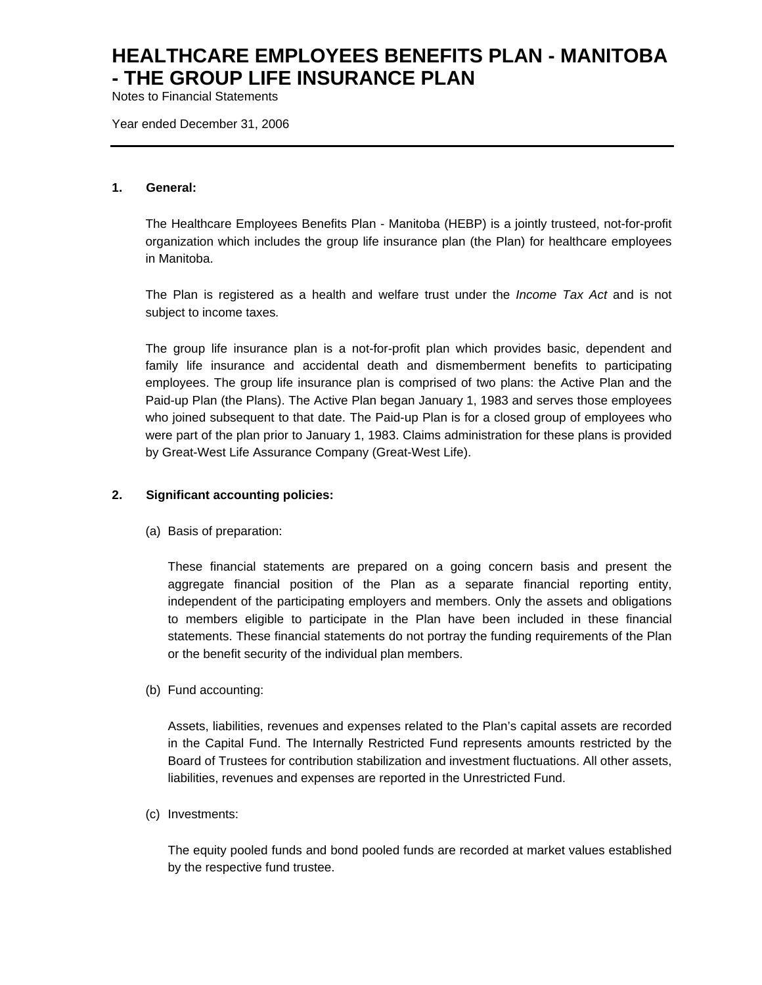Notes to Financial Statements

Year ended December 31, 2006

#### **1. General:**

The Healthcare Employees Benefits Plan - Manitoba (HEBP) is a jointly trusteed, not-for-profit organization which includes the group life insurance plan (the Plan) for healthcare employees in Manitoba.

The Plan is registered as a health and welfare trust under the *Income Tax Act* and is not subject to income taxes*.*

The group life insurance plan is a not-for-profit plan which provides basic, dependent and family life insurance and accidental death and dismemberment benefits to participating employees. The group life insurance plan is comprised of two plans: the Active Plan and the Paid-up Plan (the Plans). The Active Plan began January 1, 1983 and serves those employees who joined subsequent to that date. The Paid-up Plan is for a closed group of employees who were part of the plan prior to January 1, 1983. Claims administration for these plans is provided by Great-West Life Assurance Company (Great-West Life).

#### **2. Significant accounting policies:**

(a) Basis of preparation:

These financial statements are prepared on a going concern basis and present the aggregate financial position of the Plan as a separate financial reporting entity, independent of the participating employers and members. Only the assets and obligations to members eligible to participate in the Plan have been included in these financial statements. These financial statements do not portray the funding requirements of the Plan or the benefit security of the individual plan members.

(b) Fund accounting:

Assets, liabilities, revenues and expenses related to the Plan's capital assets are recorded in the Capital Fund. The Internally Restricted Fund represents amounts restricted by the Board of Trustees for contribution stabilization and investment fluctuations. All other assets, liabilities, revenues and expenses are reported in the Unrestricted Fund.

(c) Investments:

The equity pooled funds and bond pooled funds are recorded at market values established by the respective fund trustee.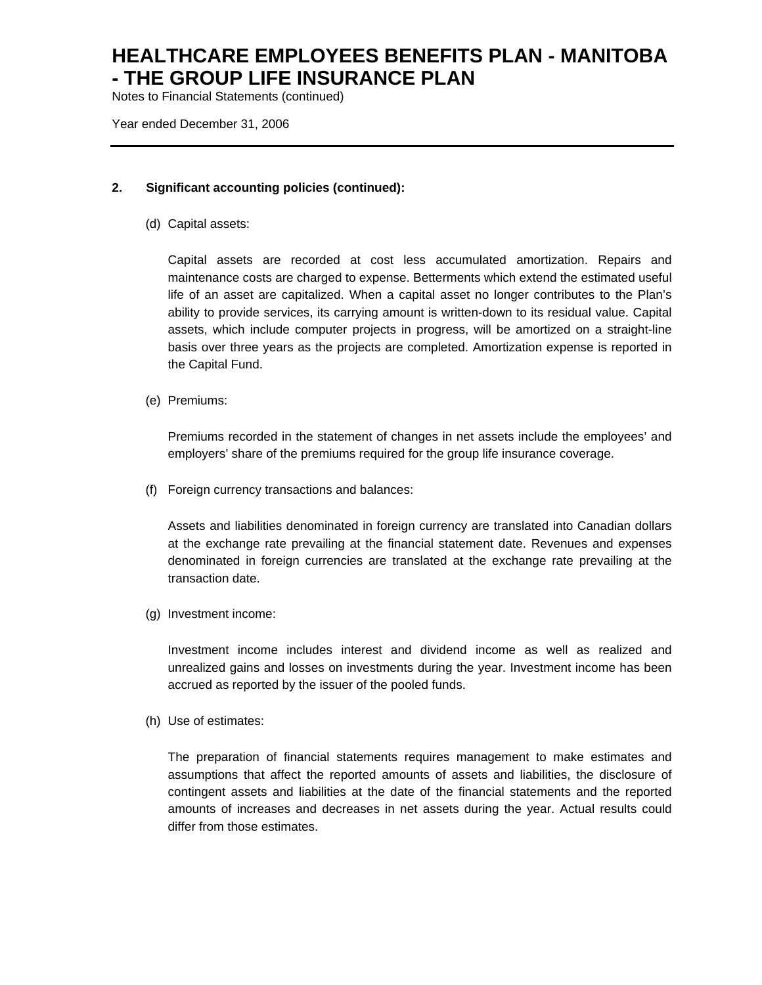Notes to Financial Statements (continued)

Year ended December 31, 2006

#### **2. Significant accounting policies (continued):**

(d) Capital assets:

Capital assets are recorded at cost less accumulated amortization. Repairs and maintenance costs are charged to expense. Betterments which extend the estimated useful life of an asset are capitalized. When a capital asset no longer contributes to the Plan's ability to provide services, its carrying amount is written-down to its residual value. Capital assets, which include computer projects in progress, will be amortized on a straight-line basis over three years as the projects are completed. Amortization expense is reported in the Capital Fund.

(e) Premiums:

Premiums recorded in the statement of changes in net assets include the employees' and employers' share of the premiums required for the group life insurance coverage.

(f) Foreign currency transactions and balances:

Assets and liabilities denominated in foreign currency are translated into Canadian dollars at the exchange rate prevailing at the financial statement date. Revenues and expenses denominated in foreign currencies are translated at the exchange rate prevailing at the transaction date.

(g) Investment income:

Investment income includes interest and dividend income as well as realized and unrealized gains and losses on investments during the year. Investment income has been accrued as reported by the issuer of the pooled funds.

(h) Use of estimates:

The preparation of financial statements requires management to make estimates and assumptions that affect the reported amounts of assets and liabilities, the disclosure of contingent assets and liabilities at the date of the financial statements and the reported amounts of increases and decreases in net assets during the year. Actual results could differ from those estimates.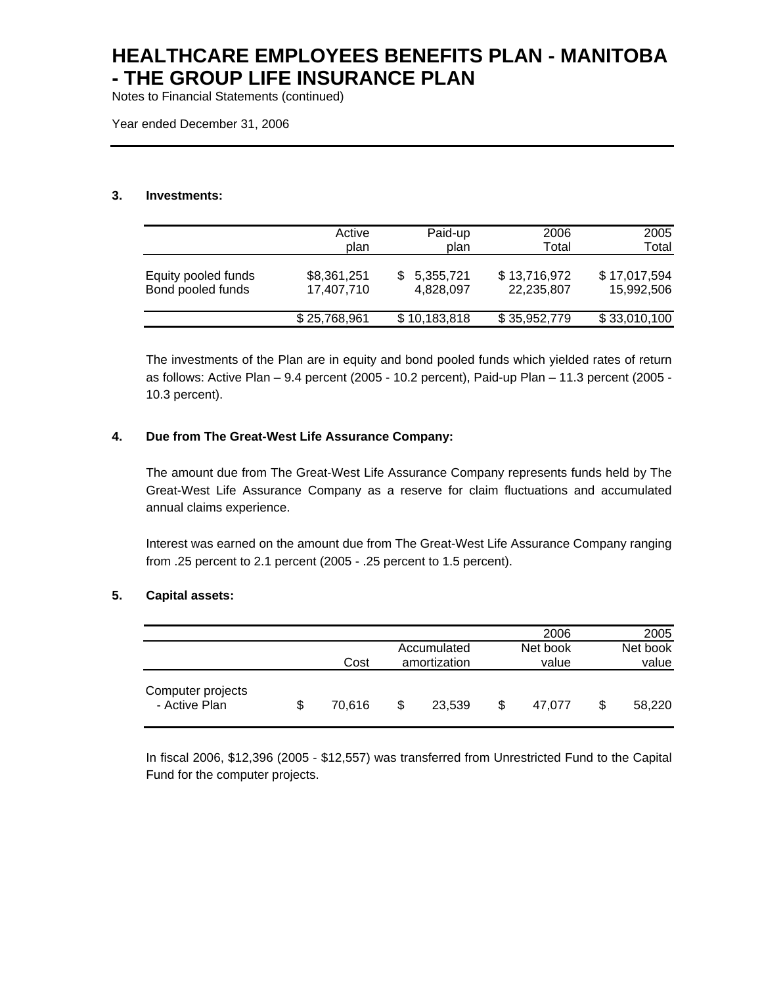Notes to Financial Statements (continued)

Year ended December 31, 2006

#### **3. Investments:**

|                     | Active       | Paid-up      | 2006         | 2005         |
|---------------------|--------------|--------------|--------------|--------------|
|                     | plan         | plan         | Total        | Total        |
| Equity pooled funds | \$8,361,251  | 5,355,721    | \$13,716,972 | \$17,017,594 |
| Bond pooled funds   | 17,407,710   | 4,828,097    | 22,235,807   | 15,992,506   |
|                     | \$25,768,961 | \$10,183,818 | \$35,952,779 | \$33,010,100 |

The investments of the Plan are in equity and bond pooled funds which yielded rates of return as follows: Active Plan – 9.4 percent (2005 - 10.2 percent), Paid-up Plan – 11.3 percent (2005 - 10.3 percent).

#### **4. Due from The Great-West Life Assurance Company:**

The amount due from The Great-West Life Assurance Company represents funds held by The Great-West Life Assurance Company as a reserve for claim fluctuations and accumulated annual claims experience.

Interest was earned on the amount due from The Great-West Life Assurance Company ranging from .25 percent to 2.1 percent (2005 - .25 percent to 1.5 percent).

#### **5. Capital assets:**

|                                    |              |   |                             | 2006              | 2005              |
|------------------------------------|--------------|---|-----------------------------|-------------------|-------------------|
|                                    | Cost         |   | Accumulated<br>amortization | Net book<br>value | Net book<br>value |
| Computer projects<br>- Active Plan | \$<br>70.616 | S | 23.539                      | \$<br>47.077      | \$<br>58,220      |

In fiscal 2006, \$12,396 (2005 - \$12,557) was transferred from Unrestricted Fund to the Capital Fund for the computer projects.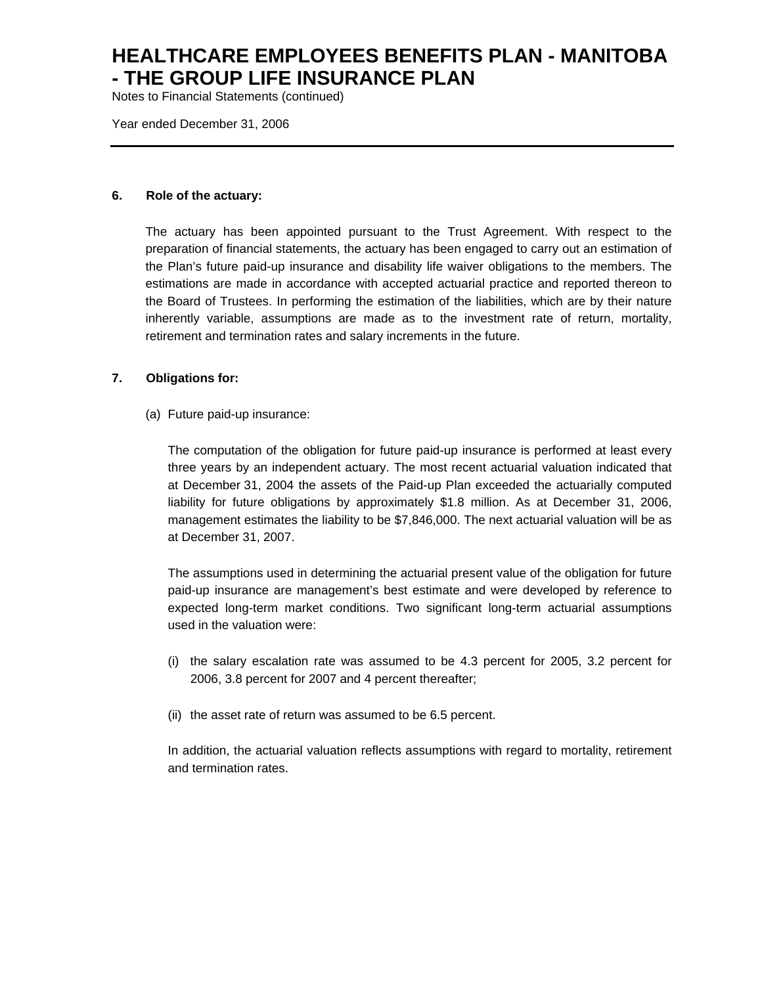Notes to Financial Statements (continued)

Year ended December 31, 2006

#### **6. Role of the actuary:**

The actuary has been appointed pursuant to the Trust Agreement. With respect to the preparation of financial statements, the actuary has been engaged to carry out an estimation of the Plan's future paid-up insurance and disability life waiver obligations to the members. The estimations are made in accordance with accepted actuarial practice and reported thereon to the Board of Trustees. In performing the estimation of the liabilities, which are by their nature inherently variable, assumptions are made as to the investment rate of return, mortality, retirement and termination rates and salary increments in the future.

#### **7. Obligations for:**

(a) Future paid-up insurance:

The computation of the obligation for future paid-up insurance is performed at least every three years by an independent actuary. The most recent actuarial valuation indicated that at December 31, 2004 the assets of the Paid-up Plan exceeded the actuarially computed liability for future obligations by approximately \$1.8 million. As at December 31, 2006, management estimates the liability to be \$7,846,000. The next actuarial valuation will be as at December 31, 2007.

The assumptions used in determining the actuarial present value of the obligation for future paid-up insurance are management's best estimate and were developed by reference to expected long-term market conditions. Two significant long-term actuarial assumptions used in the valuation were:

- (i) the salary escalation rate was assumed to be 4.3 percent for 2005, 3.2 percent for 2006, 3.8 percent for 2007 and 4 percent thereafter;
- (ii) the asset rate of return was assumed to be 6.5 percent.

In addition, the actuarial valuation reflects assumptions with regard to mortality, retirement and termination rates.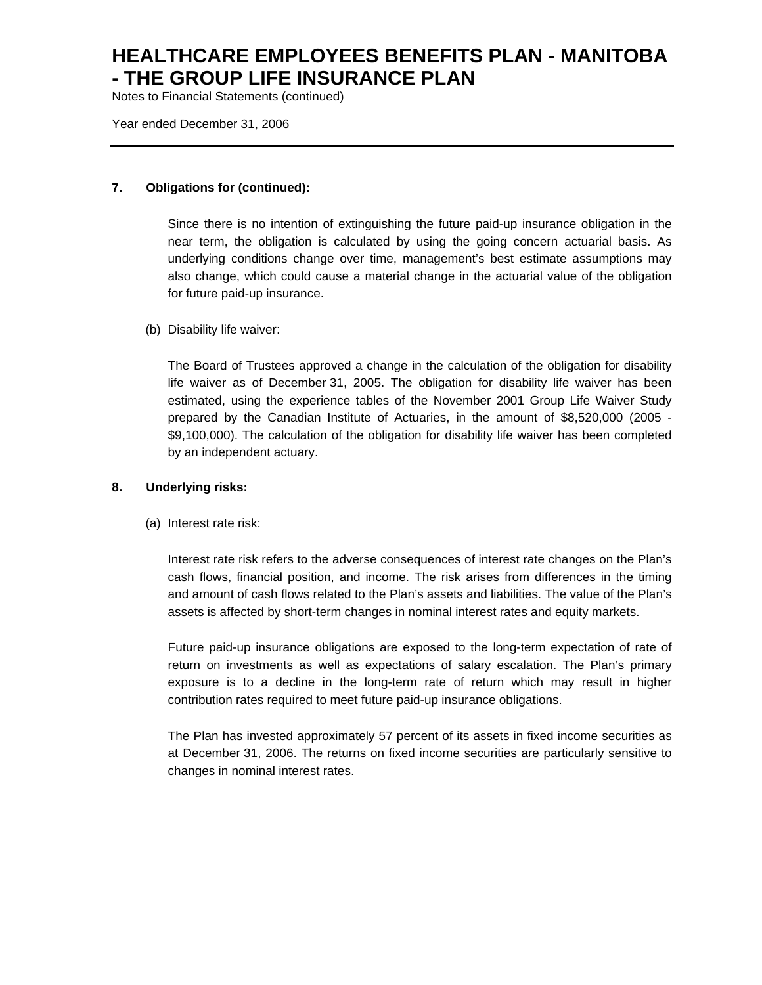Notes to Financial Statements (continued)

Year ended December 31, 2006

#### **7. Obligations for (continued):**

Since there is no intention of extinguishing the future paid-up insurance obligation in the near term, the obligation is calculated by using the going concern actuarial basis. As underlying conditions change over time, management's best estimate assumptions may also change, which could cause a material change in the actuarial value of the obligation for future paid-up insurance.

(b) Disability life waiver:

The Board of Trustees approved a change in the calculation of the obligation for disability life waiver as of December 31, 2005. The obligation for disability life waiver has been estimated, using the experience tables of the November 2001 Group Life Waiver Study prepared by the Canadian Institute of Actuaries, in the amount of \$8,520,000 (2005 - \$9,100,000). The calculation of the obligation for disability life waiver has been completed by an independent actuary.

#### **8. Underlying risks:**

(a) Interest rate risk:

Interest rate risk refers to the adverse consequences of interest rate changes on the Plan's cash flows, financial position, and income. The risk arises from differences in the timing and amount of cash flows related to the Plan's assets and liabilities. The value of the Plan's assets is affected by short-term changes in nominal interest rates and equity markets.

Future paid-up insurance obligations are exposed to the long-term expectation of rate of return on investments as well as expectations of salary escalation. The Plan's primary exposure is to a decline in the long-term rate of return which may result in higher contribution rates required to meet future paid-up insurance obligations.

The Plan has invested approximately 57 percent of its assets in fixed income securities as at December 31, 2006. The returns on fixed income securities are particularly sensitive to changes in nominal interest rates.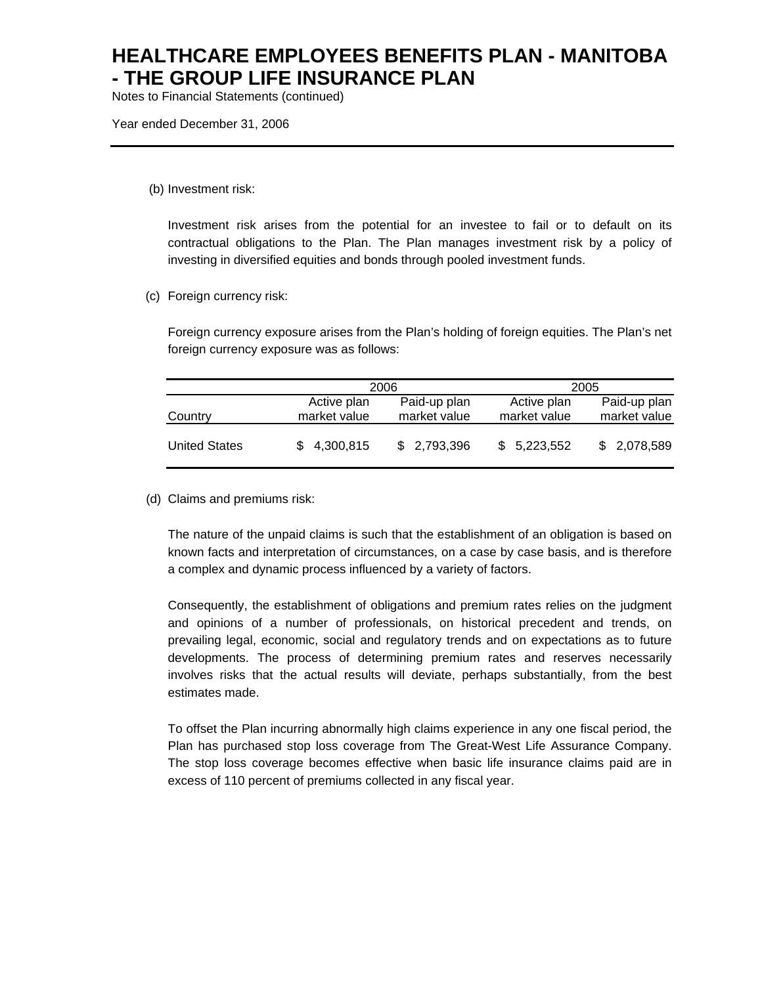Notes to Financial Statements (continued)

Year ended December 31, 2006

(b) Investment risk:

Investment risk arises from the potential for an investee to fail or to default on its contractual obligations to the Plan. The Plan manages investment risk by a policy of investing in diversified equities and bonds through pooled investment funds.

(c) Foreign currency risk:

Foreign currency exposure arises from the Plan's holding of foreign equities. The Plan's net foreign currency exposure was as follows:

|                      |                             | 2006                         | 2005                        |                              |  |
|----------------------|-----------------------------|------------------------------|-----------------------------|------------------------------|--|
| Country              | Active plan<br>market value | Paid-up plan<br>market value | Active plan<br>market value | Paid-up plan<br>market value |  |
| <b>United States</b> | 4,300,815                   | \$2,793,396                  | \$5,223,552                 | 2,078,589<br>\$.             |  |

(d) Claims and premiums risk:

The nature of the unpaid claims is such that the establishment of an obligation is based on known facts and interpretation of circumstances, on a case by case basis, and is therefore a complex and dynamic process influenced by a variety of factors.

Consequently, the establishment of obligations and premium rates relies on the judgment and opinions of a number of professionals, on historical precedent and trends, on prevailing legal, economic, social and regulatory trends and on expectations as to future developments. The process of determining premium rates and reserves necessarily involves risks that the actual results will deviate, perhaps substantially, from the best estimates made.

To offset the Plan incurring abnormally high claims experience in any one fiscal period, the Plan has purchased stop loss coverage from The Great-West Life Assurance Company. The stop loss coverage becomes effective when basic life insurance claims paid are in excess of 110 percent of premiums collected in any fiscal year.